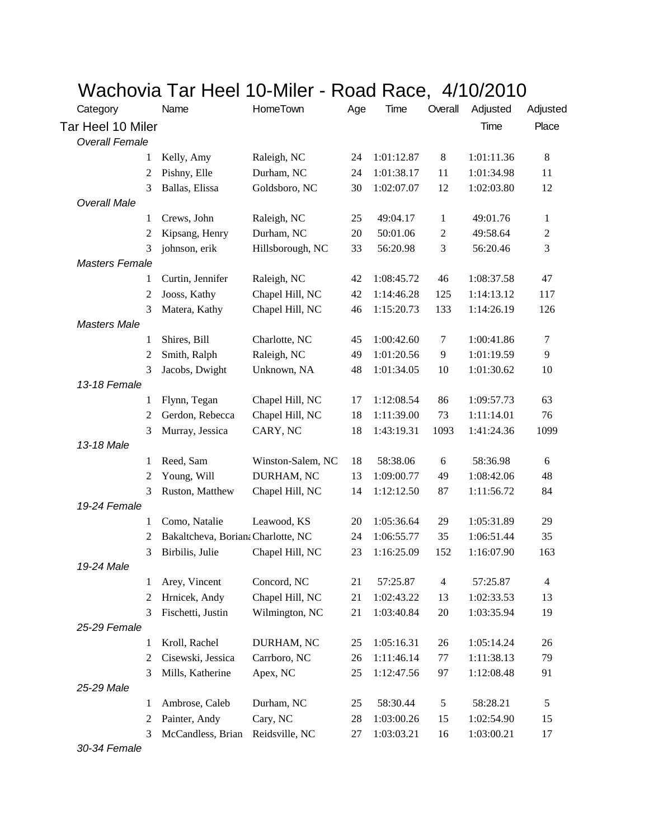## Wachovia Tar Heel 10-Miler - Road Race, 4/10/2010

| Category              | Name                               | HomeTown          | Age    | Time       | Overall                 | Adjusted   | Adjusted         |
|-----------------------|------------------------------------|-------------------|--------|------------|-------------------------|------------|------------------|
| Tar Heel 10 Miler     |                                    |                   |        |            |                         | Time       | Place            |
| <b>Overall Female</b> |                                    |                   |        |            |                         |            |                  |
| 1                     | Kelly, Amy                         | Raleigh, NC       | 24     | 1:01:12.87 | $8\,$                   | 1:01:11.36 | 8                |
| 2                     | Pishny, Elle                       | Durham, NC        | 24     | 1:01:38.17 | 11                      | 1:01:34.98 | 11               |
| 3                     | Ballas, Elissa                     | Goldsboro, NC     | 30     | 1:02:07.07 | 12                      | 1:02:03.80 | 12               |
| <b>Overall Male</b>   |                                    |                   |        |            |                         |            |                  |
| 1                     | Crews, John                        | Raleigh, NC       | 25     | 49:04.17   | $\mathbf{1}$            | 49:01.76   | $\mathbf{1}$     |
| 2                     | Kipsang, Henry                     | Durham, NC        | $20\,$ | 50:01.06   | $\boldsymbol{2}$        | 49:58.64   | $\boldsymbol{2}$ |
| 3                     | johnson, erik                      | Hillsborough, NC  | 33     | 56:20.98   | $\mathfrak{Z}$          | 56:20.46   | 3                |
| <b>Masters Female</b> |                                    |                   |        |            |                         |            |                  |
| 1                     | Curtin, Jennifer                   | Raleigh, NC       | 42     | 1:08:45.72 | 46                      | 1:08:37.58 | 47               |
| 2                     | Jooss, Kathy                       | Chapel Hill, NC   | 42     | 1:14:46.28 | 125                     | 1:14:13.12 | 117              |
| 3                     | Matera, Kathy                      | Chapel Hill, NC   | 46     | 1:15:20.73 | 133                     | 1:14:26.19 | 126              |
| <b>Masters Male</b>   |                                    |                   |        |            |                         |            |                  |
| 1                     | Shires, Bill                       | Charlotte, NC     | 45     | 1:00:42.60 | 7                       | 1:00:41.86 | 7                |
| 2                     | Smith, Ralph                       | Raleigh, NC       | 49     | 1:01:20.56 | 9                       | 1:01:19.59 | 9                |
| 3                     | Jacobs, Dwight                     | Unknown, NA       | 48     | 1:01:34.05 | 10                      | 1:01:30.62 | 10               |
| 13-18 Female          |                                    |                   |        |            |                         |            |                  |
| 1                     | Flynn, Tegan                       | Chapel Hill, NC   | 17     | 1:12:08.54 | 86                      | 1:09:57.73 | 63               |
| 2                     | Gerdon, Rebecca                    | Chapel Hill, NC   | 18     | 1:11:39.00 | 73                      | 1:11:14.01 | 76               |
| 3                     | Murray, Jessica                    | CARY, NC          | 18     | 1:43:19.31 | 1093                    | 1:41:24.36 | 1099             |
| 13-18 Male            |                                    |                   |        |            |                         |            |                  |
| 1                     | Reed, Sam                          | Winston-Salem, NC | 18     | 58:38.06   | $\boldsymbol{6}$        | 58:36.98   | 6                |
| 2                     | Young, Will                        | DURHAM, NC        | 13     | 1:09:00.77 | 49                      | 1:08:42.06 | 48               |
| 3                     | Ruston, Matthew                    | Chapel Hill, NC   | 14     | 1:12:12.50 | 87                      | 1:11:56.72 | 84               |
| 19-24 Female          |                                    |                   |        |            |                         |            |                  |
| 1                     | Como, Natalie                      | Leawood, KS       | 20     | 1:05:36.64 | 29                      | 1:05:31.89 | 29               |
| 2                     | Bakaltcheva, Boriana Charlotte, NC |                   | 24     | 1:06:55.77 | 35                      | 1:06:51.44 | 35               |
| 3                     | Birbilis, Julie                    | Chapel Hill, NC   | 23     | 1:16:25.09 | 152                     | 1:16:07.90 | 163              |
| 19-24 Male            |                                    |                   |        |            |                         |            |                  |
| 1                     | Arey, Vincent                      | Concord, NC       | 21     | 57:25.87   | $\overline{\mathbf{4}}$ | 57:25.87   | 4                |
| 2                     | Hrnicek, Andy                      | Chapel Hill, NC   | 21     | 1:02:43.22 | 13                      | 1:02:33.53 | 13               |
| 3                     | Fischetti, Justin                  | Wilmington, NC    | 21     | 1:03:40.84 | 20                      | 1:03:35.94 | 19               |
| 25-29 Female          |                                    |                   |        |            |                         |            |                  |
| 1                     | Kroll, Rachel                      | DURHAM, NC        | 25     | 1:05:16.31 | 26                      | 1:05:14.24 | 26               |
| $\overline{2}$        | Cisewski, Jessica                  | Carrboro, NC      | 26     | 1:11:46.14 | 77                      | 1:11:38.13 | 79               |
| 3                     | Mills, Katherine                   | Apex, NC          | 25     | 1:12:47.56 | 97                      | 1:12:08.48 | 91               |
| 25-29 Male            |                                    |                   |        |            |                         |            |                  |
| 1                     | Ambrose, Caleb                     | Durham, NC        | 25     | 58:30.44   | 5                       | 58:28.21   | 5                |
| 2                     | Painter, Andy                      | Cary, NC          | 28     | 1:03:00.26 | 15                      | 1:02:54.90 | 15               |
| 3                     | McCandless, Brian                  | Reidsville, NC    | 27     | 1:03:03.21 | 16                      | 1:03:00.21 | 17               |

*30-34 Female*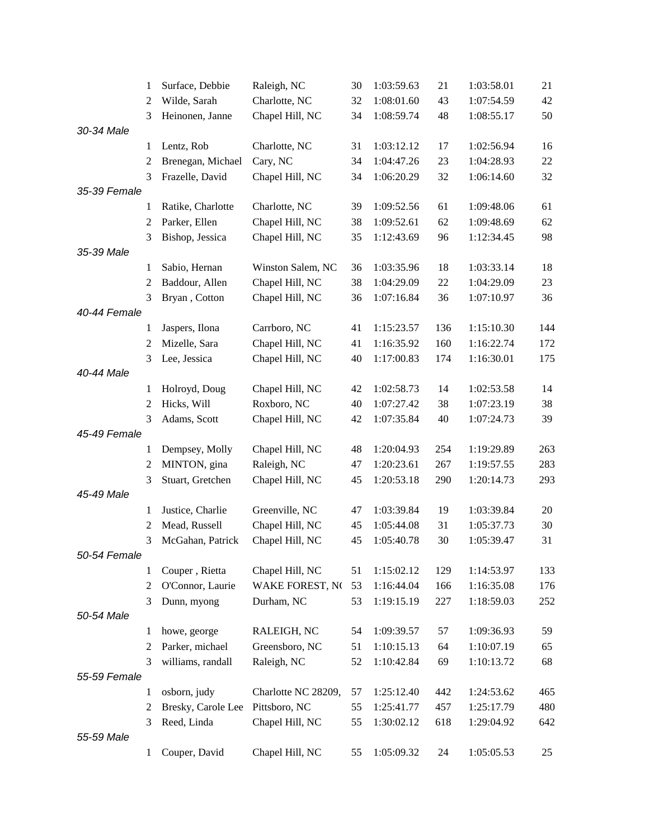|              | 1              | Surface, Debbie    | Raleigh, NC         | 30 | 1:03:59.63 | 21  | 1:03:58.01 | 21  |
|--------------|----------------|--------------------|---------------------|----|------------|-----|------------|-----|
|              | $\overline{2}$ | Wilde, Sarah       | Charlotte, NC       | 32 | 1:08:01.60 | 43  | 1:07:54.59 | 42  |
|              | 3              | Heinonen, Janne    | Chapel Hill, NC     | 34 | 1:08:59.74 | 48  | 1:08:55.17 | 50  |
| 30-34 Male   |                |                    |                     |    |            |     |            |     |
|              | 1              | Lentz, Rob         | Charlotte, NC       | 31 | 1:03:12.12 | 17  | 1:02:56.94 | 16  |
|              | 2              | Brenegan, Michael  | Cary, NC            | 34 | 1:04:47.26 | 23  | 1:04:28.93 | 22  |
|              | 3              | Frazelle, David    | Chapel Hill, NC     | 34 | 1:06:20.29 | 32  | 1:06:14.60 | 32  |
| 35-39 Female |                |                    |                     |    |            |     |            |     |
|              | 1              | Ratike, Charlotte  | Charlotte, NC       | 39 | 1:09:52.56 | 61  | 1:09:48.06 | 61  |
|              | $\overline{2}$ | Parker, Ellen      | Chapel Hill, NC     | 38 | 1:09:52.61 | 62  | 1:09:48.69 | 62  |
|              | 3              | Bishop, Jessica    | Chapel Hill, NC     | 35 | 1:12:43.69 | 96  | 1:12:34.45 | 98  |
| 35-39 Male   |                |                    |                     |    |            |     |            |     |
|              | 1              | Sabio, Hernan      | Winston Salem, NC   | 36 | 1:03:35.96 | 18  | 1:03:33.14 | 18  |
|              | 2              | Baddour, Allen     | Chapel Hill, NC     | 38 | 1:04:29.09 | 22  | 1:04:29.09 | 23  |
|              | 3              | Bryan, Cotton      | Chapel Hill, NC     | 36 | 1:07:16.84 | 36  | 1:07:10.97 | 36  |
| 40-44 Female |                |                    |                     |    |            |     |            |     |
|              | 1              | Jaspers, Ilona     | Carrboro, NC        | 41 | 1:15:23.57 | 136 | 1:15:10.30 | 144 |
|              | $\overline{2}$ | Mizelle, Sara      | Chapel Hill, NC     | 41 | 1:16:35.92 | 160 | 1:16:22.74 | 172 |
|              | 3              | Lee, Jessica       | Chapel Hill, NC     | 40 | 1:17:00.83 | 174 | 1:16:30.01 | 175 |
| 40-44 Male   |                |                    |                     |    |            |     |            |     |
|              | 1              | Holroyd, Doug      | Chapel Hill, NC     | 42 | 1:02:58.73 | 14  | 1:02:53.58 | 14  |
|              | 2              | Hicks, Will        | Roxboro, NC         | 40 | 1:07:27.42 | 38  | 1:07:23.19 | 38  |
|              | 3              | Adams, Scott       | Chapel Hill, NC     | 42 | 1:07:35.84 | 40  | 1:07:24.73 | 39  |
| 45-49 Female |                |                    |                     |    |            |     |            |     |
|              | 1              | Dempsey, Molly     | Chapel Hill, NC     | 48 | 1:20:04.93 | 254 | 1:19:29.89 | 263 |
|              | $\overline{c}$ | MINTON, gina       | Raleigh, NC         | 47 | 1:20:23.61 | 267 | 1:19:57.55 | 283 |
|              | 3              | Stuart, Gretchen   | Chapel Hill, NC     | 45 | 1:20:53.18 | 290 | 1:20:14.73 | 293 |
| 45-49 Male   |                |                    |                     |    |            |     |            |     |
|              | 1              | Justice, Charlie   | Greenville, NC      | 47 | 1:03:39.84 | 19  | 1:03:39.84 | 20  |
|              | 2              | Mead, Russell      | Chapel Hill, NC     | 45 | 1:05:44.08 | 31  | 1:05:37.73 | 30  |
|              | 3              | McGahan, Patrick   | Chapel Hill, NC     | 45 | 1:05:40.78 | 30  | 1:05:39.47 | 31  |
| 50-54 Female |                |                    |                     |    |            |     |            |     |
|              | 1              | Couper, Rietta     | Chapel Hill, NC     | 51 | 1:15:02.12 | 129 | 1:14:53.97 | 133 |
|              | $\overline{2}$ | O'Connor, Laurie   | WAKE FOREST, NO     | 53 | 1:16:44.04 | 166 | 1:16:35.08 | 176 |
|              | 3              | Dunn, myong        | Durham, NC          | 53 | 1:19:15.19 | 227 | 1:18:59.03 | 252 |
| 50-54 Male   |                |                    |                     |    |            |     |            |     |
|              | 1              | howe, george       | RALEIGH, NC         | 54 | 1:09:39.57 | 57  | 1:09:36.93 | 59  |
|              | 2              | Parker, michael    | Greensboro, NC      | 51 | 1:10:15.13 | 64  | 1:10:07.19 | 65  |
|              | 3              | williams, randall  | Raleigh, NC         | 52 | 1:10:42.84 | 69  | 1:10:13.72 | 68  |
| 55-59 Female |                |                    |                     |    |            |     |            |     |
|              | 1              | osborn, judy       | Charlotte NC 28209, | 57 | 1:25:12.40 | 442 | 1:24:53.62 | 465 |
|              | $\overline{2}$ | Bresky, Carole Lee | Pittsboro, NC       | 55 | 1:25:41.77 | 457 | 1:25:17.79 | 480 |
|              | 3              | Reed, Linda        | Chapel Hill, NC     | 55 | 1:30:02.12 | 618 | 1:29:04.92 | 642 |
| 55-59 Male   |                |                    |                     |    |            |     |            |     |
|              | 1              | Couper, David      | Chapel Hill, NC     | 55 | 1:05:09.32 | 24  | 1:05:05.53 | 25  |